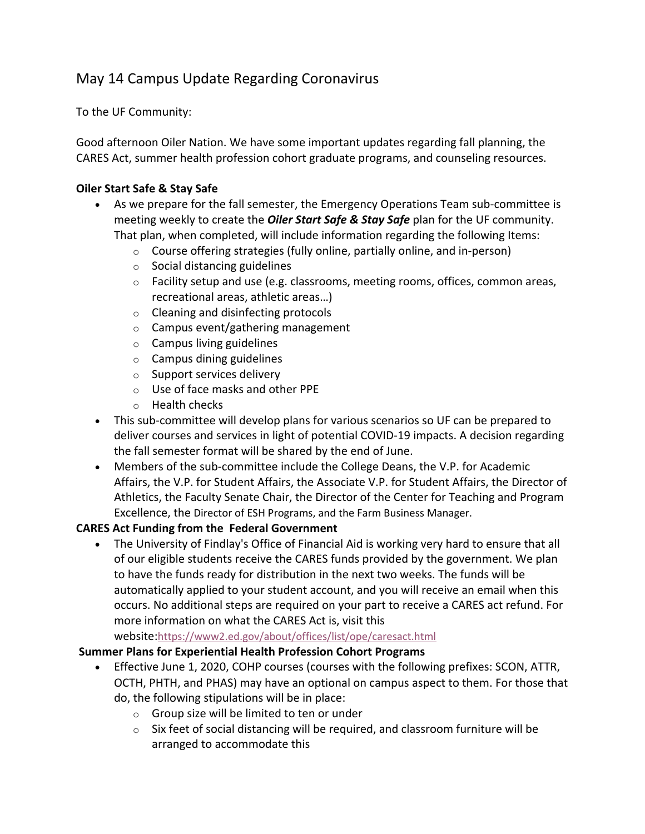# May 14 Campus Update Regarding Coronavirus

To the UF Community:

Good afternoon Oiler Nation. We have some important updates regarding fall planning, the CARES Act, summer health profession cohort graduate programs, and counseling resources.

## **Oiler Start Safe & Stay Safe**

- As we prepare for the fall semester, the Emergency Operations Team sub-committee is meeting weekly to create the *Oiler Start Safe & Stay Safe* plan for the UF community. That plan, when completed, will include information regarding the following Items:
	- o Course offering strategies (fully online, partially online, and in-person)
	- o Social distancing guidelines
	- o Facility setup and use (e.g. classrooms, meeting rooms, offices, common areas, recreational areas, athletic areas…)
	- o Cleaning and disinfecting protocols
	- o Campus event/gathering management
	- $\circ$  Campus living guidelines
	- o Campus dining guidelines
	- o Support services delivery
	- o Use of face masks and other PPE
	- o Health checks
- This sub-committee will develop plans for various scenarios so UF can be prepared to deliver courses and services in light of potential COVID-19 impacts. A decision regarding the fall semester format will be shared by the end of June.
- Excellence, the Director of ESH Programs, and the Farm Business Manager. • Members of the sub-committee include the College Deans, the V.P. for Academic Affairs, the V.P. for Student Affairs, the Associate V.P. for Student Affairs, the Director of Athletics, the Faculty Senate Chair, the Director of the Center for Teaching and Program

### **CARES Act Funding from the Federal Government**

• The University of Findlay's Office of Financial Aid is working very hard to ensure that all of our eligible students receive the CARES funds provided by the government. We plan to have the funds ready for distribution in the next two weeks. The funds will be automatically applied to your student account, and you will receive an email when this occurs. No additional steps are required on your part to receive a CARES act refund. For more information on what the CARES Act is, visit this

[website:https://www2.ed.gov/about/offices/list/ope/caresact.html](https://website:https://www2.ed.gov/about/offices/list/ope/caresact.html)

### **Summer Plans for Experiential Health Profession Cohort Programs**

- Effective June 1, 2020, COHP courses (courses with the following prefixes: SCON, ATTR, OCTH, PHTH, and PHAS) may have an optional on campus aspect to them. For those that do, the following stipulations will be in place:
	- o Group size will be limited to ten or under
	- o Six feet of social distancing will be required, and classroom furniture will be arranged to accommodate this